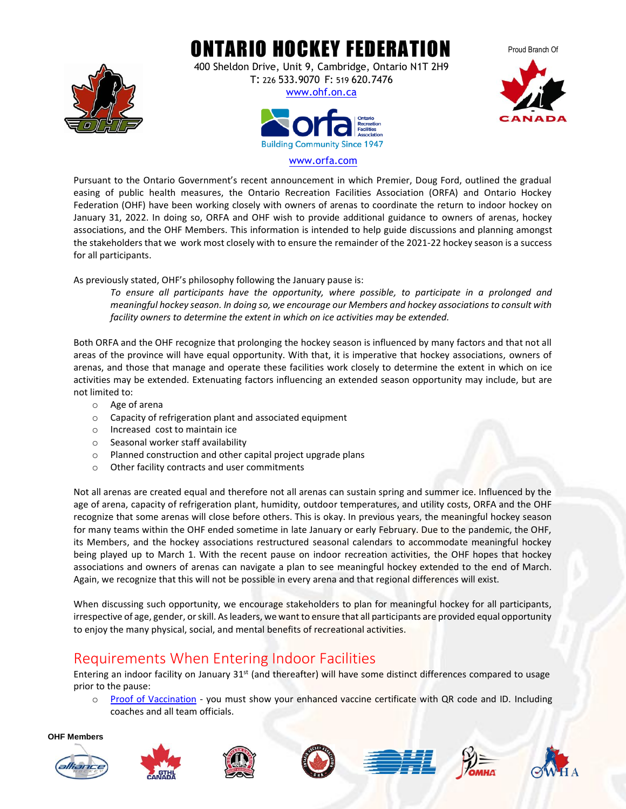

ONTARIO HOCKEY FEDERATION

400 Sheldon Drive, Unit 9, Cambridge, Ontario N1T 2H9 T: 226 533.9070 F: 519 620.7476







#### [www.orfa.com](http://www.orfa.com/)

Pursuant to the Ontario Government's recent announcement in which Premier, Doug Ford, outlined the gradual easing of public health measures, the Ontario Recreation Facilities Association (ORFA) and Ontario Hockey Federation (OHF) have been working closely with owners of arenas to coordinate the return to indoor hockey on January 31, 2022. In doing so, ORFA and OHF wish to provide additional guidance to owners of arenas, hockey associations, and the OHF Members. This information is intended to help guide discussions and planning amongst the stakeholders that we work most closely with to ensure the remainder of the 2021-22 hockey season is a success for all participants.

As previously stated, OHF's philosophy following the January pause is:

*To ensure all participants have the opportunity, where possible, to participate in a prolonged and meaningful hockey season. In doing so, we encourage our Members and hockey associations to consult with facility owners to determine the extent in which on ice activities may be extended.*

Both ORFA and the OHF recognize that prolonging the hockey season is influenced by many factors and that not all areas of the province will have equal opportunity. With that, it is imperative that hockey associations, owners of arenas, and those that manage and operate these facilities work closely to determine the extent in which on ice activities may be extended. Extenuating factors influencing an extended season opportunity may include, but are not limited to:

- o Age of arena
- o Capacity of refrigeration plant and associated equipment
- o Increased cost to maintain ice
- o Seasonal worker staff availability
- o Planned construction and other capital project upgrade plans
- o Other facility contracts and user commitments

Not all arenas are created equal and therefore not all arenas can sustain spring and summer ice. Influenced by the age of arena, capacity of refrigeration plant, humidity, outdoor temperatures, and utility costs, ORFA and the OHF recognize that some arenas will close before others. This is okay. In previous years, the meaningful hockey season for many teams within the OHF ended sometime in late January or early February. Due to the pandemic, the OHF, its Members, and the hockey associations restructured seasonal calendars to accommodate meaningful hockey being played up to March 1. With the recent pause on indoor recreation activities, the OHF hopes that hockey associations and owners of arenas can navigate a plan to see meaningful hockey extended to the end of March. Again, we recognize that this will not be possible in every arena and that regional differences will exist.

When discussing such opportunity, we encourage stakeholders to plan for meaningful hockey for all participants, irrespective of age, gender, or skill. As leaders, we want to ensure that all participants are provided equal opportunity to enjoy the many physical, social, and mental benefits of recreational activities.

# Requirements When Entering Indoor Facilities

Entering an indoor facility on January 31<sup>st</sup> (and thereafter) will have some distinct differences compared to usage prior to the pause:

o [Proof of Vaccination](https://covid-19.ontario.ca/proof-covid-19-vaccination#where-proof-of-vaccination-is-required) - you must show your enhanced vaccine certificate with QR code and ID. Including coaches and all team officials.

**OHF Members**